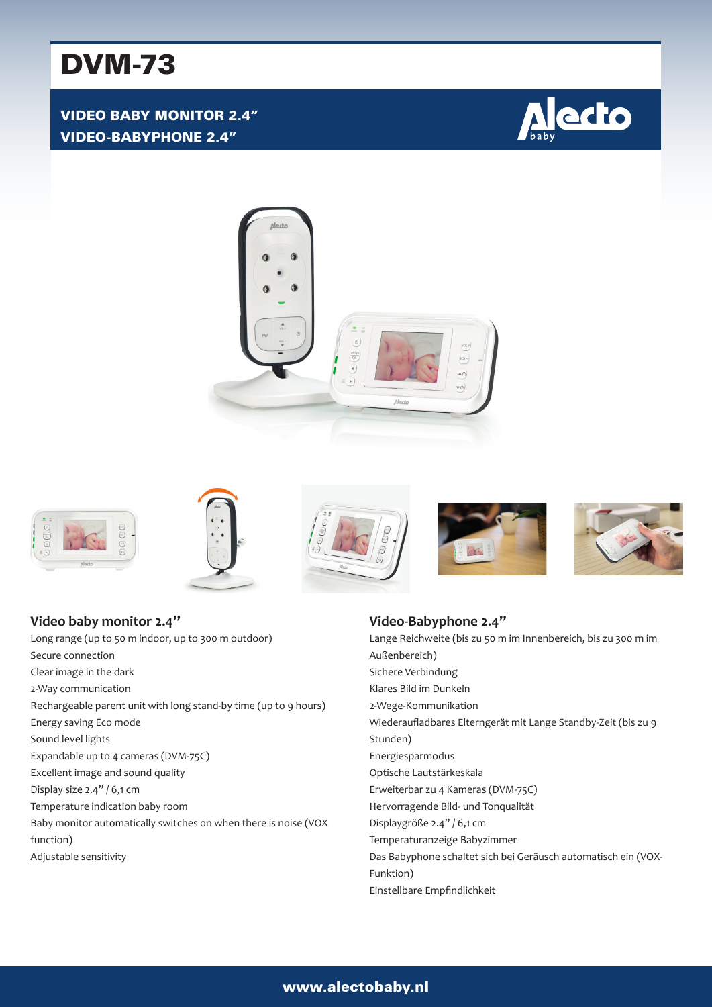# DVM-73

VIDEO BABY MONITOR 2.4" VIDEO-BABYPHONE 2.4"













**Video baby monitor 2.4"** Long range (up to 50 m indoor, up to 300 m outdoor) Secure connection Clear image in the dark 2-Way communication Rechargeable parent unit with long stand-by time (up to 9 hours) Energy saving Eco mode Sound level lights Expandable up to 4 cameras (DVM-75C) Excellent image and sound quality Display size 2.4" / 6,1 cm Temperature indication baby room Baby monitor automatically switches on when there is noise (VOX function) Adjustable sensitivity

#### **Video-Babyphone 2.4"** Lange Reichweite (bis zu 50 m im Innenbereich, bis zu 300 m im Außenbereich) Sichere Verbindung Klares Bild im Dunkeln 2-Wege-Kommunikation Wiederaufladbares Elterngerät mit Lange Standby-Zeit (bis zu 9 Stunden) Energiesparmodus Optische Lautstärkeskala Erweiterbar zu 4 Kameras (DVM-75C) Hervorragende Bild- und Tonqualität Displaygröße 2.4" / 6,1 cm Temperaturanzeige Babyzimmer Das Babyphone schaltet sich bei Geräusch automatisch ein (VOX-Funktion) Einstellbare Empfindlichkeit